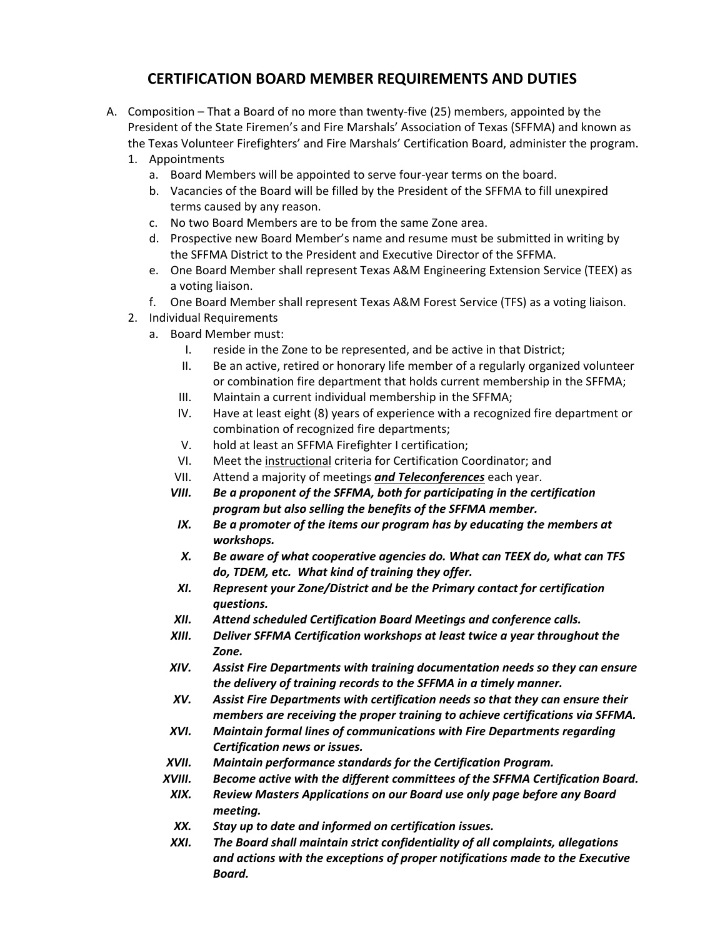## **CERTIFICATION BOARD MEMBER REQUIREMENTS AND DUTIES**

- A. Composition That a Board of no more than twenty‐five (25) members, appointed by the President of the State Firemen's and Fire Marshals' Association of Texas (SFFMA) and known as the Texas Volunteer Firefighters' and Fire Marshals' Certification Board, administer the program.
	- 1. Appointments
		- a. Board Members will be appointed to serve four‐year terms on the board.
		- b. Vacancies of the Board will be filled by the President of the SFFMA to fill unexpired terms caused by any reason.
		- c. No two Board Members are to be from the same Zone area.
		- d. Prospective new Board Member's name and resume must be submitted in writing by the SFFMA District to the President and Executive Director of the SFFMA.
		- e. One Board Member shall represent Texas A&M Engineering Extension Service (TEEX) as a voting liaison.
		- f. One Board Member shall represent Texas A&M Forest Service (TFS) as a voting liaison.
	- 2. Individual Requirements
		- a. Board Member must:
			- I. reside in the Zone to be represented, and be active in that District;
			- II. Be an active, retired or honorary life member of a regularly organized volunteer or combination fire department that holds current membership in the SFFMA;
			- III. Maintain a current individual membership in the SFFMA;
			- IV. Have at least eight (8) years of experience with a recognized fire department or combination of recognized fire departments;
			- V. hold at least an SFFMA Firefighter I certification;
			- VI. Meet the instructional criteria for Certification Coordinator; and
			- VII. Attend a majority of meetings *and Teleconferences* each year.
			- *VIII. Be a proponent of the SFFMA, both for participating in the certification program but also selling the benefits of the SFFMA member.*
			- *IX. Be a promoter of the items our program has by educating the members at workshops.*
			- *X. Be aware of what cooperative agencies do. What can TEEX do, what can TFS do, TDEM, etc. What kind of training they offer.*
			- *XI. Represent your Zone/District and be the Primary contact for certification questions.*
			- *XII. Attend scheduled Certification Board Meetings and conference calls.*
			- *XIII. Deliver SFFMA Certification workshops at least twice a year throughout the Zone.*
			- *XIV. Assist Fire Departments with training documentation needs so they can ensure the delivery of training records to the SFFMA in a timely manner.*
			- *XV. Assist Fire Departments with certification needs so that they can ensure their members are receiving the proper training to achieve certifications via SFFMA.*
			- *XVI. Maintain formal lines of communications with Fire Departments regarding Certification news or issues.*
			- *XVII. Maintain performance standards for the Certification Program.*
			- *XVIII. Become active with the different committees of the SFFMA Certification Board.*
			- *XIX. Review Masters Applications on our Board use only page before any Board meeting.*
			- *XX. Stay up to date and informed on certification issues.*
			- *XXI. The Board shall maintain strict confidentiality of all complaints, allegations and actions with the exceptions of proper notifications made to the Executive Board.*